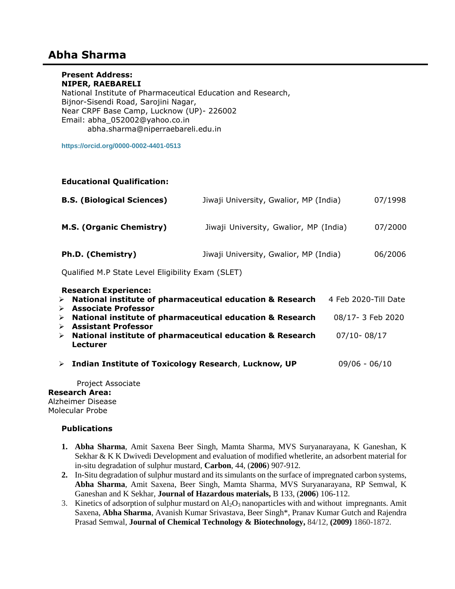# **Abha Sharma**

## **Present Address:**

**NIPER, RAEBARELI** National Institute of Pharmaceutical Education and Research, Bijnor-Sisendi Road, Sarojini Nagar, Near CRPF Base Camp, Lucknow (UP)- 226002 Email: [abha\\_052002@yahoo.co.in](mailto:abha_052002@yahoo.co.in) abha.sharma@niperraebareli.edu.in

**<https://orcid.org/0000-0002-4401-0513>**

### **Educational Qualification:**

| <b>B.S. (Biological Sciences)</b> | Jiwaji University, Gwalior, MP (India) | 07/1998 |
|-----------------------------------|----------------------------------------|---------|
| <b>M.S. (Organic Chemistry)</b>   | Jiwaji University, Gwalior, MP (India) | 07/2000 |
| Ph.D. (Chemistry)                 | Jiwaji University, Gwalior, MP (India) | 06/2006 |

Qualified M.P State Level Eligibility Exam (SLET)

|                                                           | 4 Feb 2020-Till Date                                                                                                                                                                                                                                           |
|-----------------------------------------------------------|----------------------------------------------------------------------------------------------------------------------------------------------------------------------------------------------------------------------------------------------------------------|
|                                                           |                                                                                                                                                                                                                                                                |
|                                                           | 08/17-3 Feb 2020                                                                                                                                                                                                                                               |
| <b>Assistant Professor</b>                                |                                                                                                                                                                                                                                                                |
| National institute of pharmaceutical education & Research | $07/10 - 08/17$                                                                                                                                                                                                                                                |
| <b>Lecturer</b>                                           |                                                                                                                                                                                                                                                                |
|                                                           |                                                                                                                                                                                                                                                                |
|                                                           | $09/06 - 06/10$                                                                                                                                                                                                                                                |
|                                                           |                                                                                                                                                                                                                                                                |
|                                                           | <b>Research Experience:</b><br>$\triangleright$ National institute of pharmaceutical education & Research<br><b>Associate Professor</b><br>National institute of pharmaceutical education & Research<br>> Indian Institute of Toxicology Research, Lucknow, UP |

 Project Associate **Research Area:** Alzheimer Disease Molecular Probe

#### **Publications**

- **1. Abha Sharma**, Amit Saxena Beer Singh, Mamta Sharma, MVS Suryanarayana, K Ganeshan, K Sekhar & K K Dwivedi Development and evaluation of modified whetlerite, an adsorbent material for in-situ degradation of sulphur mustard, **Carbon**, 44, (**2006**) 907-912*.*
- **2.** In-Situ degradation of sulphur mustard and its simulants on the surface of impregnated carbon systems, **Abha Sharma**, Amit Saxena, Beer Singh, Mamta Sharma, MVS Suryanarayana, RP Semwal, K Ganeshan and K Sekhar, **Journal of Hazardous materials,** B 133, (**2006**) 106-112.
- 3. Kinetics of adsorption of sulphur mustard on  $\text{Al}_2\text{O}_3$  nanoparticles with and without impregnants. Amit Saxena, **Abha Sharma**, Avanish Kumar Srivastava, Beer Singh\*, Pranav Kumar Gutch and Rajendra Prasad Semwal, **Journal of Chemical Technology & Biotechnology,** 84/12, **(2009)** 1860-1872.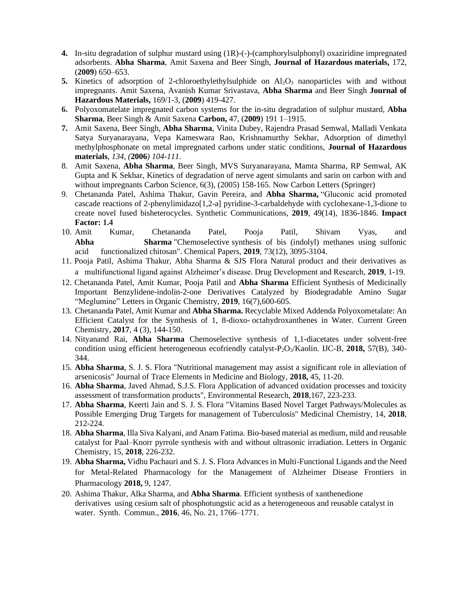- **4.** In-situ degradation of sulphur mustard using (1R)-(-)-(camphorylsulphonyl) oxaziridine impregnated adsorbents. **Abha Sharma**, Amit Saxena and Beer Singh, **Journal of Hazardous materials,** 172, (**2009**) 650–653.
- **5.** Kinetics of adsorption of 2-chloroethylethylsulphide on Al<sub>2</sub>O<sub>3</sub> nanoparticles with and without impregnants. Amit Saxena, Avanish Kumar Srivastava, **Abha Sharma** and Beer Singh **Journal of Hazardous Materials,** 169/1-3, (**2009**) 419-427.
- **6.** Polyoxomatelate impregnated carbon systems for the in-situ degradation of sulphur mustard, **Abha Sharma**, Beer Singh & Amit Saxena **Carbon,** 47, (**2009**) 191 1–1915.
- **7.** Amit Saxena, Beer Singh, **Abha Sharma**, Vinita Dubey, Rajendra Prasad Semwal, Malladi Venkata Satya Suryanarayana, Vepa Kameswara Rao, Krishnamurthy Sekhar, Adsorption of dimethyl methylphosphonate on metal impregnated carbons under static conditions, **Journal of Hazardous materials**, *134, (***2006***) 104-111*.
- 8. Amit Saxena, **Abha Sharma**, Beer Singh, MVS Suryanarayana, Mamta Sharma, RP Semwal, AK Gupta and K Sekhar, Kinetics of degradation of nerve agent simulants and sarin on carbon with and without impregnants Carbon Science, 6(3), (2005) 158-165. Now Carbon Letters (Springer)
- 9. Chetananda Patel, Ashima Thakur, Gavin Pereira, and **Abha Sharma,** "Gluconic acid promoted cascade reactions of 2-phenylimidazo[1,2-a] pyridine-3-carbaldehyde with cyclohexane-1,3-dione to create novel fused bisheterocycles. Synthetic Communications, **2019**, 49(14), 1836-1846. **Impact Factor: 1.4**
- 10. Amit Kumar, Chetananda Patel, Pooja Patil, Shivam Vyas, and **Abha Sharma** "Chemoselective synthesis of bis (indolyl) methanes using sulfonic acid functionalized chitosan". Chemical Papers, **2019**, 73(12), 3095-3104.
- 11. Pooja Patil, Ashima Thakur, Abha Sharma & SJS Flora Natural product and their derivatives as a multifunctional ligand against Alzheimer's disease. Drug Development and Research, **2019**, 1-19.
- 12. Chetananda Patel, Amit Kumar, Pooja Patil and **Abha Sharma** Efficient Synthesis of Medicinally Important Benzylidene-indolin-2-one Derivatives Catalyzed by Biodegradable Amino Sugar "Meglumine" Letters in Organic Chemistry, **2019**, 16(7),600-605.
- 13. Chetananda Patel, Amit Kumar and **Abha Sharma.** Recyclable Mixed Addenda Polyoxometalate: An Efficient Catalyst for the Synthesis of 1, 8-dioxo- octahydroxanthenes in Water. Current Green Chemistry, **2017**, 4 (3), 144-150.
- 14. Nityanand Rai, **Abha Sharma** Chemoselective synthesis of 1,1-diacetates under solvent-free condition using efficient heterogeneous ecofriendly catalyst-P2O5/Kaolin. IJC-B, **2018,** 57(B), 340- 344.
- 15. **Abha Sharma**, S. J. S. Flora "Nutritional management may assist a significant role in alleviation of arsenicosis" Journal of Trace Elements in Medicine and Biology, **2018,** 45, 11-20.
- 16. **Abha Sharma**, Javed Ahmad, S.J.S. Flora Application of advanced oxidation processes and toxicity assessment of transformation products", Environmental Research, **2018**,167, 223-233.
- 17. **Abha Sharma**, Keerti Jain and S. J. S. Flora "Vitamins Based Novel Target Pathways/Molecules as Possible Emerging Drug Targets for management of Tuberculosis" Medicinal Chemistry, 14, **2018**, 212-224.
- 18. **Abha Sharma**, Illa Siva Kalyani, and Anam Fatima. Bio-based material as medium, mild and reusable catalyst for Paal–Knorr pyrrole synthesis with and without ultrasonic irradiation. Letters in Organic Chemistry, 15, **2018**, 226-232.
- 19. **Abha Sharma,** Vidhu Pachauri and S. J. S. Flora Advances in Multi-Functional Ligands and the Need for Metal-Related Pharmacology for the Management of Alzheimer Disease Frontiers in Pharmacology **2018,** 9, 1247.
- 20. Ashima Thakur, Alka Sharma, and **Abha Sharma**. Efficient synthesis of xanthenedione derivatives using cesium salt of phosphotungstic acid as a heterogeneous and reusable catalyst in water. Synth. Commun., **2016**, 46, No. 21, 1766–1771.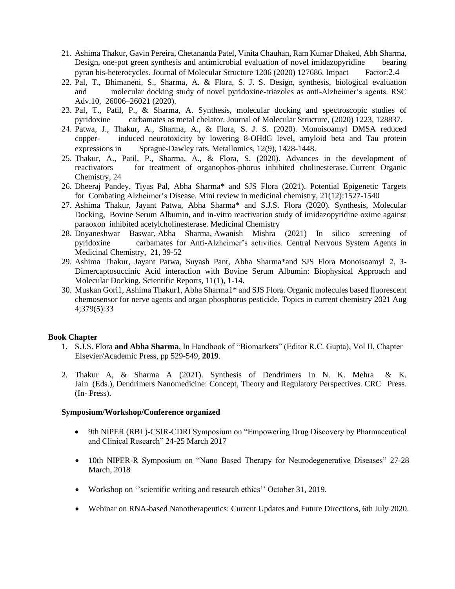- 21. Ashima Thakur, Gavin Pereira, Chetananda Patel, Vinita Chauhan, Ram Kumar Dhaked, Abh Sharma, Design, one-pot green synthesis and antimicrobial evaluation of novel imidazopyridine bearing pyran bis-heterocycles. Journal of Molecular Structure 1206 (2020) 127686. Impact Factor:2.4
- 22. Pal, T., Bhimaneni, S., Sharma, A. & Flora, S. J. S. Design, synthesis, biological evaluation and molecular docking study of novel pyridoxine-triazoles as anti-Alzheimer's agents. RSC Adv.10, 26006–26021 (2020).
- 23. Pal, T., Patil, P., & Sharma, A. Synthesis, molecular docking and spectroscopic studies of pyridoxine carbamates as metal chelator. Journal of Molecular Structure, (2020) 1223, 128837.
- 24. Patwa, J., Thakur, A., Sharma, A., & Flora, S. J. S. (2020). Monoisoamyl DMSA reduced copper- induced neurotoxicity by lowering 8-OHdG level, amyloid beta and Tau protein expressions in Sprague-Dawley rats. Metallomics, 12(9), 1428-1448.
- 25. Thakur, A., Patil, P., Sharma, A., & Flora, S. (2020). Advances in the development of reactivators for treatment of organophos-phorus inhibited cholinesterase. Current Organic Chemistry, 24
- 26. Dheeraj Pandey, Tiyas Pal, Abha Sharma\* and SJS Flora (2021). Potential Epigenetic Targets for Combating Alzheimer's Disease. Mini review in medicinal chemistry, 21(12):1527-1540
- 27. Ashima Thakur, Jayant Patwa, Abha Sharma\* and S.J.S. Flora (2020). Synthesis, Molecular Docking, Bovine Serum Albumin, and in-vitro reactivation study of imidazopyridine oxime against paraoxon inhibited acetylcholinesterase. Medicinal Chemistry
- 28. [Dnyaneshwar Baswar,](javascript:ShowAffiliation() [Abha Sharma,](javascript:ShowAffiliation() [Awanish Mishra](javascript:ShowAffiliation() (2021) In silico screening of pyridoxine carbamates for Anti-Alzheimer's activities. Central Nervous System Agents in Medicinal Chemistry, 21, 39-52
- 29. Ashima Thakur, Jayant Patwa, Suyash Pant, Abha Sharma\*and SJS Flora Monoisoamyl 2, 3‐ Dimercaptosuccinic Acid interaction with Bovine Serum Albumin: Biophysical Approach and Molecular Docking. Scientific Reports, 11(1), 1-14.
- 30. Muskan Gori1, Ashima Thakur1, Abha Sharma1\* and SJS Flora. Organic molecules based fluorescent chemosensor for nerve agents and organ phosphorus pesticide. Topics in current chemistry 2021 Aug 4;379(5):33

#### **Book Chapter**

- 1. S.J.S. Flora **and Abha Sharma**, In Handbook of "Biomarkers" (Editor R.C. Gupta), Vol II, Chapter Elsevier/Academic Press, pp 529-549, **2019**.
- 2. Thakur A, & Sharma A (2021). Synthesis of Dendrimers In N. K. Mehra & K. Jain (Eds.), Dendrimers Nanomedicine: Concept, Theory and Regulatory Perspectives. CRC Press. (In- Press).

#### **Symposium/Workshop/Conference organized**

- 9th NIPER (RBL)-CSIR-CDRI Symposium on "Empowering Drug Discovery by Pharmaceutical and Clinical Research" 24-25 March 2017
- 10th NIPER-R Symposium on "Nano Based Therapy for Neurodegenerative Diseases" 27-28 March, 2018
- Workshop on "scientific writing and research ethics" October 31, 2019.
- Webinar on RNA-based Nanotherapeutics: Current Updates and Future Directions, 6th July 2020.